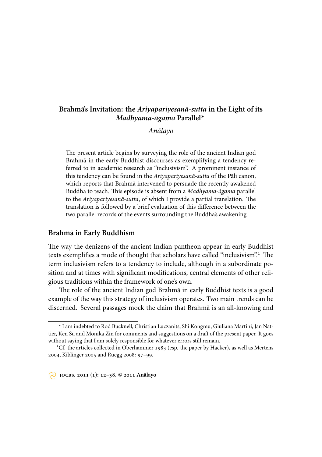# **Brahmā's Invitation: the** *Ariyapariyesanā-sutta* **in the Light of its** *Madhyama-āgama* **Parallel**\*

*Anālayo*

The present article begins by surveying the role of the ancient Indian god Brahmā in the early Buddhist discourses as exemplifying a tendency referred to in academic research as "inclusivism". A prominent instance of this tendency can be found in the *Ariyapariyesanā-sutta* of the Pāli canon, which reports that Brahmā intervened to persuade the recently awakened Buddha to teach. This episode is absent from a *Madhyama-āgama* parallel to the *Ariyapariyesanā-sutta*, of which I provide a partial translation. The translation is followed by a brief evaluation of this difference between the two parallel records of the events surrounding the Buddha's awakening.

#### **Brahmā in Early Buddhism**

The way the denizens of the ancient Indian pantheon appear in early Buddhist texts exemplifies a mode of thought that scholars have called "inclusivism".<sup>1</sup> The term inclusivism refers to a tendency to include, although in a subordinate position and at times with significant modifications, central elements of other religious traditions within the framework of one's own.

The role of the ancient Indian god Brahmā in early Buddhist texts is a good example of the way this strategy of inclusivism operates. Two main trends can be discerned. Several passages mock the claim that Brahmā is an all-knowing and

<sup>\*</sup> I am indebted to Rod Bucknell, Christian Luczanits, Shi Kongmu, Giuliana Martini, Jan Nattier, Ken Su and Monika Zin for comments and suggestions on a draft of the present paper. It goes without saying that I am solely responsible for whatever errors still remain.

<sup>&</sup>lt;sup>1</sup>Cf. the articles collected in Oberhammer 1983 (esp. the paper by Hacker), as well as Mertens 2004, Kiblinger 2005 and Ruegg 2008: 97-99.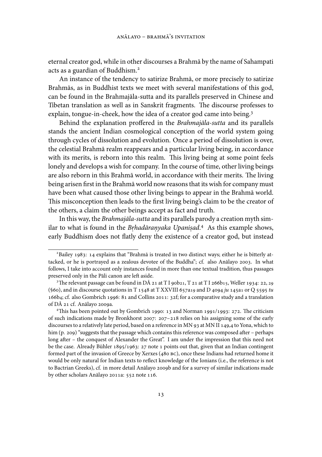eternal creator god, while in other discourses a Brahmā by the name of Sahampati acts as a guardian of Buddhism.

An instance of the tendency to satirize Brahmā, or more precisely to satirize Brahmās, as in Buddhist texts we meet with several manifestations of this god, can be found in the Brahmajāla-sutta and its parallels preserved in Chinese and Tibetan translation as well as in Sanskrit fragments. The discourse professes to explain, tongue-in-cheek, how the idea of a creator god came into being.<sup>3</sup>

Behind the explanation proffered in the *Brahmajāla-sutta* and its parallels stands the ancient Indian cosmological conception of the world system going through cycles of dissolution and evolution. Once a period of dissolution is over, the celestial Brahmā realm reappears and a particular living being, in accordance with its merits, is reborn into this realm. This living being at some point feels lonely and develops a wish for company. In the course of time, other living beings are also reborn in this Brahmā world, in accordance with their merits. The living being arisen first in the Brahmā world now reasons that its wish for company must have been what caused those other living beings to appear in the Brahmā world. This misconception then leads to the first living being's claim to be the creator of the others, a claim the other beings accept as fact and truth.

In this way, the *Brahmajāla-sutta* and its parallels parody a creation myth similar to what is found in the *Brhadāranyaka Upanisad*.<sup>4</sup> As this example shows, early Buddhism does not flatly deny the existence of a creator god, but instead

 $^{2}$ Bailey 1983: 14 explains that "Brahmā is treated in two distinct ways; either he is bitterly attacked, or he is portrayed as a zealous devotee of the Buddha"; cf. also Anālayo 2003. In what follows, I take into account only instances found in more than one textual tradition, thus passages preserved only in the Pāli canon are left aside.

<sup>&</sup>lt;sup>3</sup>The relevant passage can be found in D $\bar{A}$  21 at T I 90b21, T 21 at T I 266b15, Weller 1934: 22, 29 (§60), and in discourse quotations in T  $1548$  at T XXVIII 657a19 and D 4094  $ju$  145a1 or Q 5595  $tu$ 166b4; cf. also Gombrich 1996: 81 and Collins 2011: 32f; for a comparative study and a translation of DĀ 21 cf. Anālayo 2009a.

<sup>&</sup>lt;sup>4</sup>This has been pointed out by Gombrich 1990: 13 and Norman 1991/1993: 272. The criticism of such indications made by Bronkhorst 2007:  $207-218$  relies on his assigning some of the early discourses to a relatively late period, based on a reference in MN 93 at MN II 149,4 to Yona, which to him (p. 209) "suggests that the passage which contains this reference was composed after – perhaps long after – the conquest of Alexander the Great". I am under the impression that this need not be the case. Already Bühler  $1895/1963$ :  $27$  note 1 points out that, given that an Indian contingent formed part of the invasion of Greece by Xerxes (480 BC), once these Indians had returned home it would be only natural for Indian texts to reflect knowledge of the Ionians (i.e., the reference is not to Bactrian Greeks), cf. in more detail Anālayo 2009b and for a survey of similar indications made by other scholars Anālayo 2011a: 552 note 116.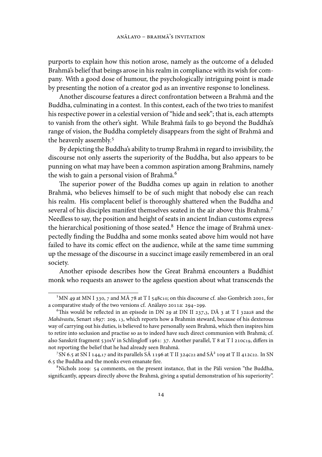purports to explain how this notion arose, namely as the outcome of a deluded Brahmā's belief that beings arose in his realm in compliance with its wish for company. With a good dose of humour, the psychologically intriguing point is made by presenting the notion of a creator god as an inventive response to loneliness.

Another discourse features a direct confrontation between a Brahmā and the Buddha, culminating in a contest. In this contest, each of the two tries to manifest his respective power in a celestial version of "hide and seek"; that is, each attempts to vanish from the other's sight. While Brahmā fails to go beyond the Buddha's range of vision, the Buddha completely disappears from the sight of Brahmā and the heavenly assembly.

By depicting the Buddha's ability to trump Brahmā in regard to invisibility, the discourse not only asserts the superiority of the Buddha, but also appears to be punning on what may have been a common aspiration among Brahmins, namely the wish to gain a personal vision of Brahmā.

The superior power of the Buddha comes up again in relation to another Brahmā, who believes himself to be of such might that nobody else can reach his realm. His complacent belief is thoroughly shattered when the Buddha and several of his disciples manifest themselves seated in the air above this Brahmā. Needless to say, the position and height of seats in ancient Indian customs express the hierarchical positioning of those seated. $8$  Hence the image of Brahmā unexpectedly finding the Buddha and some monks seated above him would not have failed to have its comic effect on the audience, while at the same time summing up the message of the discourse in a succinct image easily remembered in an oral society.

Another episode describes how the Great Brahmā encounters a Buddhist monk who requests an answer to the ageless question about what transcends the

<sup>&</sup>lt;sup>5</sup> MN 49 at MN I 330, 7 and MÅ 78 at T I 548010; on this discourse cf. also Gombrich 2001, for a comparative study of the two versions cf. Anālayo 2011a: 294-299.

<sup>&</sup>lt;sup>6</sup>This would be reflected in an episode in DN 29 at DN II 237,3, DÅ 3 at T I 32a28 and the *Mahāvastu*, Senart 1897: 209, 13, which reports how a Brahmin steward, because of his dexterous way of carrying out his duties, is believed to have personally seen Brahmā, which then inspires him to retire into seclusion and practise so as to indeed have such direct communion with Brahmā; cf. also Sanskrit fragment 530sV in Schlingloff 1961: 37. Another parallel, T 8 at T I 210c19, differs in not reporting the belief that he had already seen Brahmā.

 $^7$ SN 6.5 at SN I 144,17 and its parallels S $\rm \AA$  1196 at T II 324c22 and S $\rm \AA^2$  109 at T II 412c22. In SN . the Buddha and the monks even emanate fire.

 $8$ Nichols 2009: 54 comments, on the present instance, that in the Pāli version "the Buddha, significantly, appears directly above the Brahmā, giving a spatial demonstration of his superiority".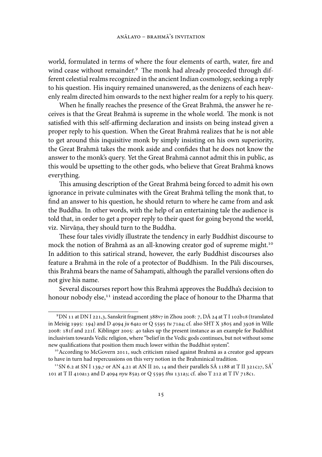world, formulated in terms of where the four elements of earth, water, fire and wind cease without remainder.<sup>9</sup> The monk had already proceeded through different celestial realms recognized in the ancient Indian cosmology, seeking a reply to his question. His inquiry remained unanswered, as the denizens of each heavenly realm directed him onwards to the next higher realm for a reply to his query.

When he finally reaches the presence of the Great Brahmā, the answer he receives is that the Great Brahmā is supreme in the whole world. The monk is not satisfied with this self-affirming declaration and insists on being instead given a proper reply to his question. When the Great Brahmā realizes that he is not able to get around this inquisitive monk by simply insisting on his own superiority, the Great Brahmā takes the monk aside and confides that he does not know the answer to the monk's query. Yet the Great Brahmā cannot admit this in public, as this would be upsetting to the other gods, who believe that Great Brahmā knows everything.

This amusing description of the Great Brahmā being forced to admit his own ignorance in private culminates with the Great Brahmā telling the monk that, to find an answer to his question, he should return to where he came from and ask the Buddha. In other words, with the help of an entertaining tale the audience is told that, in order to get a proper reply to their quest for going beyond the world, viz. Nirvāna, they should turn to the Buddha. .

These four tales vividly illustrate the tendency in early Buddhist discourse to mock the notion of Brahmā as an all-knowing creator god of supreme might. In addition to this satirical strand, however, the early Buddhist discourses also feature a Brahmā in the role of a protector of Buddhism. In the Pāli discourses, this Brahmā bears the name of Sahampati, although the parallel versions often do not give his name.

Several discourses report how this Brahmā approves the Buddha's decision to honour nobody else,<sup>11</sup> instead according the place of honour to the Dharma that

 $9$ DN 11 at DN I 221,3, Sanskrit fragment 388v7 in Zhou 2008: 7, DÅ 24 at T I 102b18 (translated in Meisig 1995: 194) and D 4094 ju 64a2 or Q 5595 tu 71a4; cf. also SHT X 3805 and 3926 in Wille 2008: 181f and 221f. Kiblinger 2005: 40 takes up the present instance as an example for Buddhist inclusivism towards Vedic religion, where "belief in the Vedic gods continues, but not without some new qualifications that position them much lower within the Buddhist system".

<sup>&</sup>lt;sup>10</sup> According to McGovern 2011, such criticism raised against Brahmā as a creator god appears to have in turn had repercussions on this very notion in the Brahminical tradition.

<sup>&</sup>lt;sup>11</sup> SN 6.2 at SN I 139,7 or AN 4.21 at AN II 20, 14 and their parallels SÅ 1188 at T II 321c27, SÅ<sup>2</sup> 101 at T II 410a13 and D 4094 nyu 85a3 or Q 5595 thu 131a3; cf. also T 212 at T IV 718c1.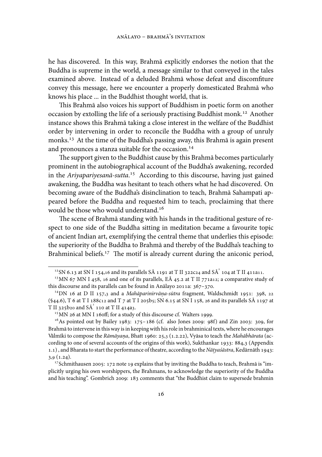he has discovered. In this way, Brahmā explicitly endorses the notion that the Buddha is supreme in the world, a message similar to that conveyed in the tales examined above. Instead of a deluded Brahmā whose defeat and discomfiture convey this message, here we encounter a properly domesticated Brahmā who knows his place ... in the Buddhist thought world, that is.

This Brahmā also voices his support of Buddhism in poetic form on another occasion by extolling the life of a seriously practising Buddhist monk.<sup>12</sup> Another instance shows this Brahmā taking a close interest in the welfare of the Buddhist order by intervening in order to reconcile the Buddha with a group of unruly monks.<sup>13</sup> At the time of the Buddha's passing away, this Brahmā is again present and pronounces a stanza suitable for the occasion.<sup>14</sup>

The support given to the Buddhist cause by this Brahmā becomes particularly prominent in the autobiographical account of the Buddha's awakening, recorded in the *Ariyapariyesanā-sutta*.<sup>15</sup> According to this discourse, having just gained awakening, the Buddha was hesitant to teach others what he had discovered. On becoming aware of the Buddha's disinclination to teach, Brahmā Sahampati appeared before the Buddha and requested him to teach, proclaiming that there would be those who would understand.

The scene of Brahmā standing with his hands in the traditional gesture of respect to one side of the Buddha sitting in meditation became a favourite topic of ancient Indian art, exemplifying the central theme that underlies this episode: the superiority of the Buddha to Brahmā and thereby of the Buddha's teaching to Brahminical beliefs.<sup> $17$ </sup> The motif is already current during the aniconic period,

 $^{12}$ SN 6.13 at SN I 154,16 and its parallels SÅ 1191 at T II 322c24 and SÅ $^{2}$  104 at T II 411a11.

 $^{13}$ MN 67 MN I 458, 16 and one of its parallels, EÅ 45.2 at T II 771a12; a comparative study of this discourse and its parallels can be found in Anālayo 2011a:  $367-370$ .

<sup>&</sup>lt;sup>14</sup>DN 16 at D II 157,3 and a *Mahāparinirvāna-sūtra* fragment, Waldschmidt 1951: 398, 22  $(§44.6)$ , T 6 at T I 188 $C<sub>12</sub>$  and T  $7$  at T I 205b5; SN 6.15 at SN I 158, 26 and its parallels S $\overline{A}$  1197 at T II 325b20 and  $S\bar{A}^2$  110 at T II 414a3.

 $15$  MN  $26$  at MN I 16off; for a study of this discourse cf. Walters 1999.

 $^{16}$ As pointed out by Bailey 1983: 175-186 (cf. also Jones 2009: 98f) and Zin 2003: 309, for Brahmā to intervene in this way is in keeping with his role in brahminical texts, where he encourages Vālmīki to compose the *Rāmāyaṇa*, Bhatt 1960: 25,3 (1.2.22), Vyāsa to teach the *Mahābhārata* (according to one of several accounts of the origins of this work), Sukthankar  $1933: 884,3$  (Appendix 1.1), and Bharata to start the performance of theatre, according to the *Nātyaśāstra*, Kedārnāth 1943:  $3,9(1.24).$ 

<sup>&</sup>lt;sup>17</sup> Schmithausen 2005: 172 note 19 explains that by inviting the Buddha to teach, Brahmā is "implicitly urging his own worshippers, the Brahmans, to acknowledge the superiority of the Buddha and his teaching". Gombrich 2009: 183 comments that "the Buddhist claim to supersede brahmin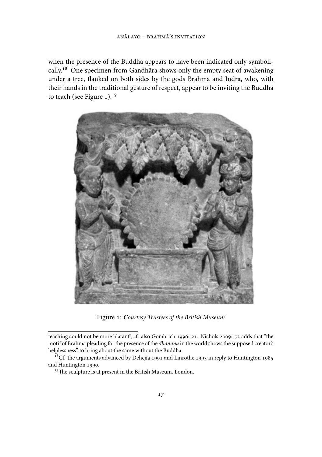when the presence of the Buddha appears to have been indicated only symbolically.<sup>18</sup> One specimen from Gandhāra shows only the empty seat of awakening under a tree, flanked on both sides by the gods Brahmā and Indra, who, with their hands in the traditional gesture of respect, appear to be inviting the Buddha to teach (see Figure  $1$ ).<sup>19</sup>



Figure : *Courtesy Trustees of the British Museum*

teaching could not be more blatant", cf. also Gombrich 1996: 21. Nichols 2009: 52 adds that "the motif of Brahmā pleading for the presence of the *dhamma* in the world shows the supposed creator's helplessness" to bring about the same without the Buddha.

<sup>&</sup>lt;sup>18</sup>Cf. the arguments advanced by Dehejia 1991 and Linrothe 1993 in reply to Huntington 1985 and Huntington 1990.

<sup>&</sup>lt;sup>19</sup>The sculpture is at present in the British Museum, London.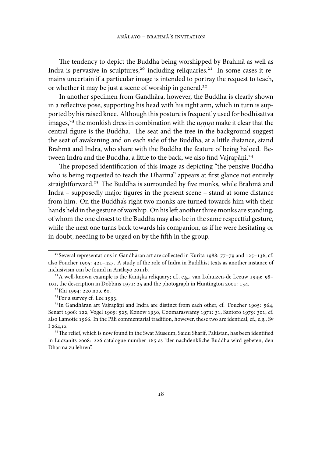The tendency to depict the Buddha being worshipped by Brahmā as well as Indra is pervasive in sculptures,<sup>20</sup> including reliquaries.<sup>21</sup> In some cases it remains uncertain if a particular image is intended to portray the request to teach, or whether it may be just a scene of worship in general.

In another specimen from Gandhāra, however, the Buddha is clearly shown in a reflective pose, supporting his head with his right arm, which in turn is supported by his raised knee. Although this posture is frequently used for bodhisattva images,<sup>23</sup> the monkish dress in combination with the *usnīsa* make it clear that the central figure is the Buddha. The seat and the tree in the background suggest the seat of awakening and on each side of the Buddha, at a little distance, stand Brahmā and Indra, who share with the Buddha the feature of being haloed. Between Indra and the Buddha, a little to the back, we also find Vajrapāṇi.<sup>24</sup>

The proposed identification of this image as depicting "the pensive Buddha who is being requested to teach the Dharma" appears at first glance not entirely straightforward.<sup>25</sup> The Buddha is surrounded by five monks, while Brahmā and Indra – supposedly major figures in the present scene – stand at some distance from him. On the Buddha's right two monks are turned towards him with their hands held in the gesture of worship. On his left another three monks are standing, of whom the one closest to the Buddha may also be in the same respectful gesture, while the next one turns back towards his companion, as if he were hesitating or in doubt, needing to be urged on by the fih in the group.

<sup>&</sup>lt;sup>20</sup> Several representations in Gandhāran art are collected in Kurita 1988: 77–79 and 125–136; cf. also Foucher 1905:  $421-427$ . A study of the role of Indra in Buddhist texts as another instance of inclusivism can be found in Anālayo 2011b.

 $21$ A well-known example is the Kaniska reliquary; cf., e.g., van Lohuizen-de Leeuw 1949: 98-101, the description in Dobbins 1971: 25 and the photograph in Huntington 2001: 134.

 $22$ Rhi 1994: 220 note 60.

 $23$  For a survey cf. Lee 1993.

 $24$ In Gandhāran art Vajrapāṇi and Indra are distinct from each other, cf. Foucher 1905: 564, Senart 1906: 122, Vogel 1909: 525, Konow 1930, Coomaraswamy 1971: 31, Santoro 1979: 301; cf. also Lamotte 1966. In the Pāli commentarial tradition, however, these two are identical, cf., e.g., Sv  $I$  264,12.

<sup>&</sup>lt;sup>25</sup> The relief, which is now found in the Swat Museum, Saidu Sharif, Pakistan, has been identified in Luczanits 2008: 226 catalogue number 165 as "der nachdenkliche Buddha wird gebeten, den Dharma zu lehren".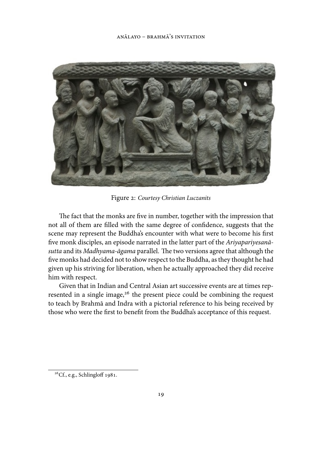

Figure : *Courtesy Christian Luczanits*

The fact that the monks are five in number, together with the impression that not all of them are filled with the same degree of confidence, suggests that the scene may represent the Buddha's encounter with what were to become his first five monk disciples, an episode narrated in the latter part of the *Ariyapariyesanā*sutta and its *Madhyama-āgama* parallel. The two versions agree that although the five monks had decided not to show respect to the Buddha, as they thought he had given up his striving for liberation, when he actually approached they did receive him with respect.

Given that in Indian and Central Asian art successive events are at times represented in a single image, $26$  the present piece could be combining the request to teach by Brahmā and Indra with a pictorial reference to his being received by those who were the first to benefit from the Buddha's acceptance of this request.

 $^{26}$ Cf., e.g., Schlingloff 1981.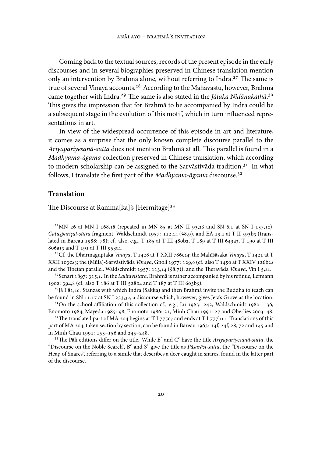Coming back to the textual sources, records of the present episode in the early discourses and in several biographies preserved in Chinese translation mention only an intervention by Brahmā alone, without referring to Indra.<sup>27</sup> The same is true of several Vinaya accounts.<sup>28</sup> According to the Mahāvastu, however, Brahmā came together with Indra.<sup>29</sup> The same is also stated in the *Jātaka Nidānakathā*.<sup>30</sup> This gives the impression that for Brahmā to be accompanied by Indra could be a subsequent stage in the evolution of this motif, which in turn influenced representations in art.

In view of the widespread occurrence of this episode in art and literature, it comes as a surprise that the only known complete discourse parallel to the Ariyapariyesanā-sutta does not mention Brahmā at all. This parallel is found in a *Madhyama-āgama* collection preserved in Chinese translation, which according to modern scholarship can be assigned to the Sarvāstivāda tradition.<sup>31</sup> In what follows, I translate the first part of the *Madhyama-āgama* discourse.

## **Translation**

The Discourse at Ramma[ka]'s [Hermitage]<sup>33</sup>

<sup>&</sup>lt;sup>27</sup> MN 26 at MN I 168,18 (repeated in MN 85 at MN II 93,26 and SN 6.1 at SN I 137,12), *Catusparisat-sūtra* fragment, Waldschmidt 1957: 112,14 (§8.9), and EA 19.1 at T II 593b3 (translated in Bareau 1988: 78); cf. also, e.g., T 185 at T III 480b2, T 189 at T III 643a3, T 190 at T III 806a13 and T 191 at T III 953a1.

<sup>&</sup>lt;sup>28</sup> Cf. the Dharmaguptaka *Vinaya*, T 1428 at T XXII 786c24; the Mahīśāsaka *Vinaya*, T 1421 at T XXII 103c23; the (Mūla)-Sarvāstivāda *Vinaya*, Gnoli 1977: 129,6 (cf. also T 1450 at T XXIV 126b22 and the Tibetan parallel, Waldschmidt 1957: 113,14 (§8.7)); and the Theravāda *Vinaya*, Vin I 5,21.

<sup>&</sup>lt;sup>29</sup> Senart 1897: 315,1. In the *Lalitavistara*, Brahmā is rather accompanied by his retinue, Lefmann 1902: 394,8 (cf. also T 186 at T III 528b4 and T 187 at T III 603b5).

 $3^{\circ}$ Jā I 81,10. Stanzas with which Indra (Sakka) and then Brahmā invite the Buddha to teach can be found in SN 11.17 at SN I 233,32, a discourse which, however, gives Jeta's Grove as the location.

 $31$ On the school affiliation of this collection cf., e.g., Lü 1963: 242, Waldschmidt 1980: 136, Enomoto 1984, Mayeda 1985: 98, Enomoto 1986: 21, Minh Chau 1991: 27 and Oberlies 2003: 48.

<sup>&</sup>lt;sup>32</sup>The translated part of MÅ 204 begins at T I 775c7 and ends at T I 777b11. Translations of this part of M $\overline{A}$  204, taken section by section, can be found in Bareau 1963: 14f, 24f, 28, 72 and 145 and in Minh Chau 1991: 153-156 and 245-248.

 $^{33}$ The Pāli editions differ on the title. While E<sup>e</sup> and C<sup>e</sup> have the title *Ariyapariyesanā-sutta*, the "Discourse on the Noble Search", B<sup>e</sup> and S<sup>e</sup> give the title as *Pāsarāsi-sutta*, the "Discourse on the Heap of Snares", referring to a simile that describes a deer caught in snares, found in the latter part of the discourse.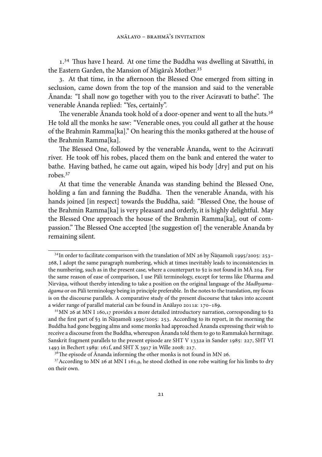$1.^{34}$  Thus have I heard. At one time the Buddha was dwelling at Sāvatthī, in the Eastern Garden, the Mansion of Migāra's Mother.

3. At that time, in the afternoon the Blessed One emerged from sitting in seclusion, came down from the top of the mansion and said to the venerable Ānanda: "I shall now go together with you to the river Aciravatī to bathe". The venerable Ānanda replied: "Yes, certainly".

The venerable Ānanda took hold of a door-opener and went to all the huts.<sup>36</sup> He told all the monks he saw: "Venerable ones, you could all gather at the house of the Brahmin Ramma[ka]." On hearing this the monks gathered at the house of the Brahmin Ramma[ka].

The Blessed One, followed by the venerable Ānanda, went to the Aciravatī river. He took off his robes, placed them on the bank and entered the water to bathe. Having bathed, he came out again, wiped his body [dry] and put on his robes.

At that time the venerable Ānanda was standing behind the Blessed One, holding a fan and fanning the Buddha. Then the venerable Ānanda, with his hands joined [in respect] towards the Buddha, said: "Blessed One, the house of the Brahmin Ramma[ka] is very pleasant and orderly, it is highly delightful. May the Blessed One approach the house of the Brahmin Ramma[ka], out of compassion." The Blessed One accepted [the suggestion of] the venerable Ānanda by remaining silent.

 $34$ In order to facilitate comparison with the translation of MN 26 by Ñānamoli 1995/2005: 253-, I adopt the same paragraph numbering, which at times inevitably leads to inconsistencies in the numbering, such as in the present case, where a counterpart to  $\S$ 2 is not found in M $\overline{A}$  204. For the same reason of ease of comparison, I use Pāli terminology, except for terms like Dharma and Nirvāna, without thereby intending to take a position on the original language of the *Madhyamaāgama* or on Pāli terminology being in principle preferable. In the notes to the translation, my focus is on the discourse parallels. A comparative study of the present discourse that takes into account a wider range of parallel material can be found in Anālayo 2011a: 170-189.

<sup>&</sup>lt;sup>35</sup> MN 26 at MN I 160,17 provides a more detailed introductory narration, corresponding to §2 and the first part of §3 in Ñāṇamoli 1995/2005: 253. According to its report, in the morning the Buddha had gone begging alms and some monks had approached Ānanda expressing their wish to receive a discourse from the Buddha, whereupon Ānanda told them to go to Rammaka's hermitage. Sanskrit fragment parallels to the present episode are SHT V 1332a in Sander 1985: 227, SHT VI 1493 in Bechert 1989: 161f, and SHT X 3917 in Wille 2008: 217.

 $3<sup>6</sup>$ The episode of Ānanda informing the other monks is not found in MN 26.

<sup>&</sup>lt;sup>37</sup> According to MN 26 at MN I 161,9, he stood clothed in one robe waiting for his limbs to dry on their own.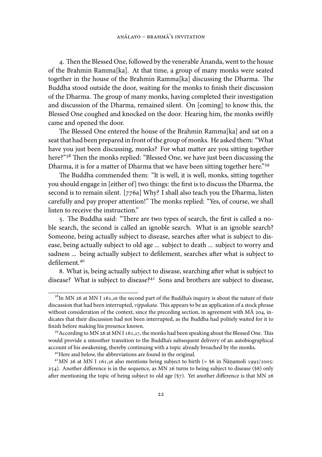4. Then the Blessed One, followed by the venerable Ānanda, went to the house of the Brahmin Ramma[ka]. At that time, a group of many monks were seated together in the house of the Brahmin Ramma[ka] discussing the Dharma. The Buddha stood outside the door, waiting for the monks to finish their discussion of the Dharma. The group of many monks, having completed their investigation and discussion of the Dharma, remained silent. On [coming] to know this, the Blessed One coughed and knocked on the door. Hearing him, the monks swiftly came and opened the door.

The Blessed One entered the house of the Brahmin Ramma[ka] and sat on a seat that had been prepared in front of the group of monks. He asked them: "What have you just been discussing, monks? For what matter are you sitting together here?"<sup>38</sup> Then the monks replied: "Blessed One, we have just been discussing the Dharma, it is for a matter of Dharma that we have been sitting together here."<sup>39</sup>

The Buddha commended them: "It is well, it is well, monks, sitting together you should engage in [either of] two things: the first is to discuss the Dharma, the second is to remain silent. [776a] Why? I shall also teach you the Dharma, listen carefully and pay proper attention!" The monks replied: "Yes, of course, we shall listen to receive the instruction."

5. The Buddha said: "There are two types of search, the first is called a noble search, the second is called an ignoble search. What is an ignoble search? Someone, being actually subject to disease, searches after what is subject to disease, being actually subject to old age ... subject to death ... subject to worry and sadness ... being actually subject to defilement, searches after what is subject to defilement.

8. What is, being actually subject to disease, searching after what is subject to disease? What is subject to disease?<sup>41</sup> Sons and brothers are subject to disease,

 $38$ In MN 26 at MN I 161,26 the second part of the Buddha's inquiry is about the nature of their discussion that had been interrupted, *vippakata*. This appears to be an application of a stock phrase without consideration of the context, since the preceding section, in agreement with  $M\bar{A}$  204, indicates that their discussion had not been interrupted, as the Buddha had politely waited for it to finish before making his presence known.

<sup>&</sup>lt;sup>39</sup> According to MN 26 at MN I 161,27, the monks had been speaking about the Blessed One. This would provide a smoother transition to the Buddha's subsequent delivery of an autobiographical account of his awakening, thereby continuing with a topic already broached by the monks.

<sup>&</sup>lt;sup>40</sup> Here and below, the abbreviations are found in the original.

<sup>&</sup>lt;sup>41</sup>MN 26 at MN I 161,36 also mentions being subject to birth  $( = 66$  in Ñāṇamoli 1995/2005:  $254$ ). Another difference is in the sequence, as MN  $26$  turns to being subject to disease (§8) only after mentioning the topic of being subject to old age  $(\frac{5}{7})$ . Yet another difference is that MN 26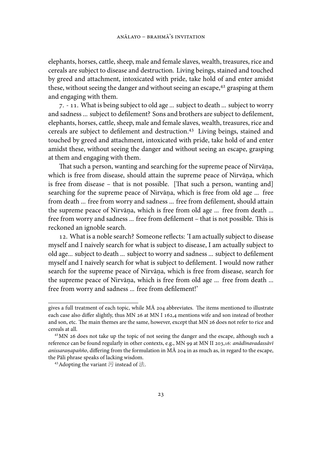elephants, horses, cattle, sheep, male and female slaves, wealth, treasures, rice and cereals are subject to disease and destruction. Living beings, stained and touched by greed and attachment, intoxicated with pride, take hold of and enter amidst these, without seeing the danger and without seeing an escape,<sup>42</sup> grasping at them and engaging with them.

7. - 11. What is being subject to old age ... subject to death ... subject to worry and sadness ... subject to defilement? Sons and brothers are subject to defilement, elephants, horses, cattle, sheep, male and female slaves, wealth, treasures, rice and cereals are subject to defilement and destruction.<sup>43</sup> Living beings, stained and touched by greed and attachment, intoxicated with pride, take hold of and enter amidst these, without seeing the danger and without seeing an escape, grasping at them and engaging with them.

That such a person, wanting and searching for the supreme peace of Nirvāṇa,  $\,$ which is free from disease, should attain the supreme peace of Nirvāna, which is free from disease – that is not possible. [That such a person, wanting and] searching for the supreme peace of Nirvāna, which is free from old age ... free from death ... free from worry and sadness ... free from defilement, should attain the supreme peace of Nirvāna, which is free from old age ... free from death ... . free from worry and sadness ... free from defilement - that is not possible. This is reckoned an ignoble search.

. What is a noble search? Someone reflects: 'I am actually subject to disease myself and I naively search for what is subject to disease, I am actually subject to old age... subject to death ... subject to worry and sadness ... subject to defilement myself and I naively search for what is subject to defilement. I would now rather search for the supreme peace of Nirvāna, which is free from disease, search for . the supreme peace of Nirvāna, which is free from old age ... free from death ... . free from worry and sadness ... free from defilement!'

gives a full treatment of each topic, while  $M\bar{A}$  204 abbreviates. The items mentioned to illustrate each case also differ slightly, thus MN 26 at MN I 162,4 mentions wife and son instead of brother and son, etc. The main themes are the same, however, except that MN 26 does not refer to rice and cereals at all.

 $42$ MN 26 does not take up the topic of not seeing the danger and the escape, although such a reference can be found regularly in other contexts, e.g., MN 99 at MN II 203,16: *anādīnavadassāvī* a*nissaraṇapañño,* differing from the formulation in MĀ 204 in as much as, in regard to the escape, the Pāli phrase speaks of lacking wisdom.

<sup>&</sup>lt;sup>43</sup> Adopting the variant 污 instead of 法.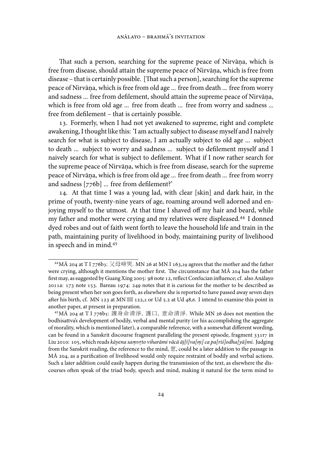That such a person, searching for the supreme peace of Nirvāna, which is free from disease, should attain the supreme peace of Nirvāna, which is free from . disease – that is certainly possible. [That such a person], searching for the supreme peace of Nirvāna, which is free from old age ... free from death ... free from worry . and sadness ... free from defilement, should attain the supreme peace of Nirvāna, . which is free from old age ... free from death ... free from worry and sadness ... free from defilement – that is certainly possible.

. Formerly, when I had not yet awakened to supreme, right and complete awakening, I thought like this: 'I am actually subject to disease myself and I naively search for what is subject to disease, I am actually subject to old age ... subject to death ... subject to worry and sadness ... subject to defilement myself and I naively search for what is subject to defilement. What if I now rather search for the supreme peace of Nirvāna, which is free from disease, search for the supreme peace of Nirvāna, which is free from old age ... free from death ... free from worry . and sadness [776b] ... free from defilement?'

. At that time I was a young lad, with clear [skin] and dark hair, in the prime of youth, twenty-nine years of age, roaming around well adorned and enjoying myself to the utmost. At that time I shaved off my hair and beard, while my father and mother were crying and my relatives were displeased.<sup>44</sup> I donned dyed robes and out of faith went forth to leave the household life and train in the path, maintaining purity of livelihood in body, maintaining purity of livelihood in speech and in mind.

<sup>&</sup>lt;sup>44</sup> MĀ 204 at T I 776b3: 父母啼哭. MN 26 at MN I 163,29 agrees that the mother and the father were crying, although it mentions the mother first. The circumstance that MA 204 has the father first may, as suggested by Guang Xing 2005: 98 note 12, reflect Confucian influence; cf. also Anālayo 2011a:  $173$  note 153. Bareau 1974: 249 notes that it is curious for the mother to be described as being present when her son goes forth, as elsewhere she is reported to have passed away seven days after his birth, cf. MN 123 at MN III 122,2 or Ud 5.2 at Ud 48,6. I intend to examine this point in another paper, at present in preparation.

<sup>&</sup>lt;sup>45</sup> MA 204 at T I 776b5: 護身命清淨, 護口, 意命清淨. While MN 26 does not mention the bodhisattva's development of bodily, verbal and mental purity (or his accomplishing the aggregate of morality, which is mentioned later), a comparable reference, with a somewhat different wording, can be found in a Sanskrit discourse fragment paralleling the present episode, fragment 331r7 in Liu 2010: 105, which reads *kāyena saṃvṛto viharāmi vācā āj[ī]va[ṃ] ca pa[riś]odha[yā]mi. Judging* from the Sanskrit reading, the reference to the mind, 意, could be a later addition to the passage in MĀ 204, as a purification of livelihood would only require restraint of bodily and verbal actions. Such a later addition could easily happen during the transmission of the text, as elsewhere the discourses often speak of the triad body, speech and mind, making it natural for the term mind to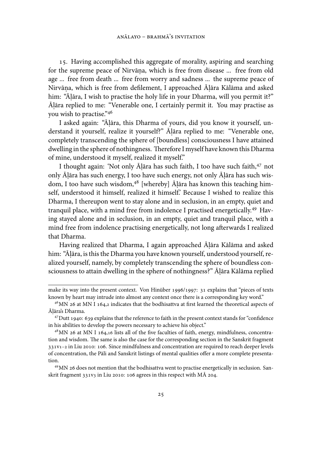. Having accomplished this aggregate of morality, aspiring and searching for the supreme peace of Nirvāna, which is free from disease ... free from old age ... free from death ... free from worry and sadness ... the supreme peace of Nirvāṇa, which is free from defilement, I approached Aḷāra Kālāma and asked him: "Ā. lāra, I wish to practise the holy life in your Dharma, will you permit it?" Ā. lāra replied to me: "Venerable one, I certainly permit it. You may practise as you wish to practise."46

I asked again: "Ā. lāra, this Dharma of yours, did you know it yourself, understand it yourself, realize it yourself?" Ā. lāra replied to me: "Venerable one, completely transcending the sphere of [boundless] consciousness I have attained dwelling in the sphere of nothingness. Therefore I myself have known this Dharma of mine, understood it myself, realized it myself."

I thought again: 'Not only Āļāra has such faith, I too have such faith, <sup>47</sup> not only Āļāra has such energy, I too have such energy, not only Āļāra has such wisdom, I too have such wisdom, <sup>48</sup> [whereby] Āļāra has known this teaching himself, understood it himself, realized it himself.' Because I wished to realize this Dharma, I thereupon went to stay alone and in seclusion, in an empty, quiet and tranquil place, with a mind free from indolence I practised energetically.<sup>49</sup> Having stayed alone and in seclusion, in an empty, quiet and tranquil place, with a mind free from indolence practising energetically, not long afterwards I realized that Dharma.

Having realized that Dharma, I again approached Āļāra Kālāma and asked him: "Ā. lāra, is this the Dharma you have known yourself, understood yourself, realized yourself, namely, by completely transcending the sphere of boundless consciousness to attain dwelling in the sphere of nothingness?" Āļāra Kālāma replied

make its way into the present context. Von Hinüber 1996/1997: 31 explains that "pieces of texts known by heart may intrude into almost any context once there is a corresponding key word."

 $46$ MN 26 at MN I 164,2 indicates that the bodhisattva at first learned the theoretical aspects of Āļāra's Dharma.

 $47$  Dutt 1940: 639 explains that the reference to faith in the present context stands for "confidence" in his abilities to develop the powers necessary to achieve his object."

 $48$  MN 26 at MN I 164,16 lists all of the five faculties of faith, energy, mindfulness, concentration and wisdom. The same is also the case for the corresponding section in the Sanskrit fragment  $331V1-2$  in Liu 2010: 106. Since mindfulness and concentration are required to reach deeper levels of concentration, the Pāli and Sanskrit listings of mental qualities offer a more complete presentation.

<sup>&</sup>lt;sup>49</sup> MN 26 does not mention that the bodhisattva went to practise energetically in seclusion. Sanskrit fragment  $331v_3$  in Liu 2010: 106 agrees in this respect with MÅ 204.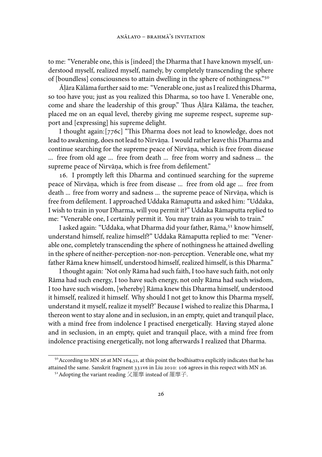to me: "Venerable one, this is [indeed] the Dharma that I have known myself, understood myself, realized myself, namely, by completely transcending the sphere of [boundless] consciousness to attain dwelling in the sphere of nothingness."

Ā. lāra Kālāma further said to me: "Venerable one, just as I realized this Dharma, so too have you; just as you realized this Dharma, so too have I. Venerable one, come and share the leadership of this group." Thus Āļāra Kālāma, the teacher, placed me on an equal level, thereby giving me supreme respect, supreme support and [expressing] his supreme delight.

I thought again: [776c] "This Dharma does not lead to knowledge, does not lead to awakening, does not lead to Nirvāna. I would rather leave this Dharma and . continue searching for the supreme peace of Nirvāna, which is free from disease ... free from old age ... free from death ... free from worry and sadness ... the supreme peace of Nirvāna, which is free from defilement."

16. I promptly left this Dharma and continued searching for the supreme peace of Nirvāna, which is free from disease ... free from old age ... free from death ... free from worry and sadness ... the supreme peace of Nirvāna, which is free from defilement. I approached Uddaka Rāmaputta and asked him: "Uddaka, I wish to train in your Dharma, will you permit it?" Uddaka Rāmaputta replied to me: "Venerable one, I certainly permit it. You may train as you wish to train."

I asked again: "Uddaka, what Dharma did your father, Rāma, <sup>51</sup> know himself, understand himself, realize himself?" Uddaka Rāmaputta replied to me: "Venerable one, completely transcending the sphere of nothingness he attained dwelling in the sphere of neither-perception-nor-non-perception. Venerable one, what my father Rāma knew himself, understood himself, realized himself, is this Dharma."

I thought again: 'Not only Rāma had such faith, I too have such faith, not only Rāma had such energy, I too have such energy, not only Rāma had such wisdom, I too have such wisdom, [whereby] Rāma knew this Dharma himself, understood it himself, realized it himself. Why should I not get to know this Dharma myself, understand it myself, realize it myself?' Because I wished to realize this Dharma, I thereon went to stay alone and in seclusion, in an empty, quiet and tranquil place, with a mind free from indolence I practised energetically. Having stayed alone and in seclusion, in an empty, quiet and tranquil place, with a mind free from indolence practising energetically, not long afterwards I realized that Dharma.

 $50$  According to MN 26 at MN 164,32, at this point the bodhisattva explicitly indicates that he has attained the same. Sanskrit fragment 331v6 in Liu 2010: 106 agrees in this respect with MN 26.

<sup>&</sup>lt;sup>51</sup> Adopting the variant reading 父羅摩 instead of 羅摩子.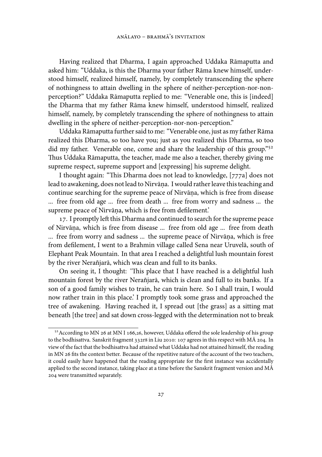Having realized that Dharma, I again approached Uddaka Rāmaputta and asked him: "Uddaka, is this the Dharma your father Rāma knew himself, understood himself, realized himself, namely, by completely transcending the sphere of nothingness to attain dwelling in the sphere of neither-perception-nor-nonperception?" Uddaka Rāmaputta replied to me: "Venerable one, this is [indeed] the Dharma that my father Rāma knew himself, understood himself, realized himself, namely, by completely transcending the sphere of nothingness to attain dwelling in the sphere of neither-perception-nor-non-perception."

Uddaka Rāmaputta further said to me: "Venerable one, just as my father Rāma realized this Dharma, so too have you; just as you realized this Dharma, so too did my father. Venerable one, come and share the leadership of this group."<sup>52</sup> Thus Uddaka Rāmaputta, the teacher, made me also a teacher, thereby giving me supreme respect, supreme support and [expressing] his supreme delight.

I thought again: "This Dharma does not lead to knowledge, [777a] does not lead to awakening, does not lead to Nirvāna. I would rather leave this teaching and . continue searching for the supreme peace of Nirvāna, which is free from disease . ... free from old age ... free from death ... free from worry and sadness ... the supreme peace of Nirvāna, which is free from defilement.' .

17. I promptly left this Dharma and continued to search for the supreme peace of Nirvāna, which is free from disease ... free from old age ... free from death ... free from worry and sadness ... the supreme peace of Nirvāṇa, which is free from defilement, I went to a Brahmin village called Sena near Uruvelā, south of Elephant Peak Mountain. In that area I reached a delightful lush mountain forest by the river Nerañjarā, which was clean and full to its banks.

On seeing it, I thought: 'This place that I have reached is a delightful lush mountain forest by the river Nerañjarā, which is clean and full to its banks. If a son of a good family wishes to train, he can train here. So I shall train, I would now rather train in this place.' I promptly took some grass and approached the tree of awakening. Having reached it, I spread out [the grass] as a sitting mat beneath [the tree] and sat down cross-legged with the determination not to break

<sup>&</sup>lt;sup>52</sup> According to MN 26 at MN I 166,26, however, Uddaka offered the sole leadership of his group to the bodhisattva. Sanskrit fragment 332r8 in Liu 2010: 107 agrees in this respect with MÅ 204. In view of the fact that the bodhisattva had attained what Uddaka had not attained himself, the reading in MN 26 fits the context better. Because of the repetitive nature of the account of the two teachers, it could easily have happened that the reading appropriate for the first instance was accidentally applied to the second instance, taking place at a time before the Sanskrit fragment version and MĀ 204 were transmitted separately.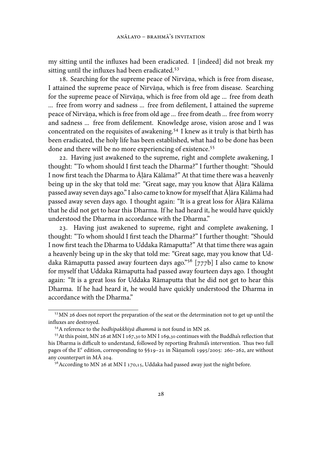my sitting until the influxes had been eradicated. I [indeed] did not break my sitting until the influxes had been eradicated.<sup>53</sup>

. Searching for the supreme peace of Nirvāna, which is free from disease, . I attained the supreme peace of Nirvāna, which is free from disease. Searching . for the supreme peace of Nirvāna, which is free from old age ... free from death ... free from worry and sadness ... free from defilement, I attained the supreme peace of Nirvāna, which is free from old age ... free from death ... free from worry . and sadness ... free from defilement. Knowledge arose, vision arose and I was concentrated on the requisites of awakening.<sup>54</sup> I knew as it truly is that birth has been eradicated, the holy life has been established, what had to be done has been done and there will be no more experiencing of existence.<sup>55</sup>

. Having just awakened to the supreme, right and complete awakening, I thought: "To whom should I first teach the Dharma?" I further thought: "Should I now first teach the Dharma to Āļāra Kālāma?" At that time there was a heavenly being up in the sky that told me: "Great sage, may you know that Āļāra Kālāma passed away seven days ago." I also came to know for myself that Āļāra Kālāma had passed away seven days ago. I thought again: "It is a great loss for Āļāra Kālāma that he did not get to hear this Dharma. If he had heard it, he would have quickly understood the Dharma in accordance with the Dharma."

. Having just awakened to supreme, right and complete awakening, I thought: "To whom should I first teach the Dharma?" I further thought: "Should I now first teach the Dharma to Uddaka Rāmaputta?" At that time there was again a heavenly being up in the sky that told me: "Great sage, may you know that Uddaka Rāmaputta passed away fourteen days ago."<sup>56</sup> [777b] I also came to know for myself that Uddaka Rāmaputta had passed away fourteen days ago. I thought again: "It is a great loss for Uddaka Rāmaputta that he did not get to hear this Dharma. If he had heard it, he would have quickly understood the Dharma in accordance with the Dharma."

<sup>&</sup>lt;sup>53</sup> MN 26 does not report the preparation of the seat or the determination not to get up until the influxes are destroyed.

<sup>&</sup>lt;sup>54</sup>A reference to the *bodhipakkhivā dhammā* is not found in MN 26.

<sup>&</sup>lt;sup>55</sup> At this point, MN 26 at MN I 167,30 to MN I 169,30 continues with the Buddha's reflection that his Dharma is difficult to understand, followed by reporting Brahma's intervention. Thus two full pages of the  $E^e$  edition, corresponding to  $\S$ 19–21 in Ñānamoli 1995/2005: 260–262, are without any counterpart in  $M\bar{A}$  204.

 $56$  According to MN 26 at MN I 170,15, Uddaka had passed away just the night before.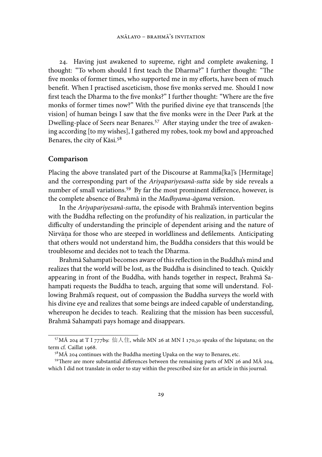. Having just awakened to supreme, right and complete awakening, I thought: "To whom should I first teach the Dharma?" I further thought: "The five monks of former times, who supported me in my efforts, have been of much benefit. When I practised asceticism, those five monks served me. Should I now first teach the Dharma to the five monks?" I further thought: "Where are the five monks of former times now?" With the purified divine eye that transcends [the vision] of human beings I saw that the five monks were in the Deer Park at the Dwelling-place of Seers near Benares.<sup>57</sup> After staying under the tree of awakening according [to my wishes], I gathered my robes, took my bowl and approached Benares, the city of Kāsi.

## **Comparison**

Placing the above translated part of the Discourse at Ramma[ka]'s [Hermitage] and the corresponding part of the *Ariyapariyesanā-sutta* side by side reveals a number of small variations.<sup>59</sup> By far the most prominent difference, however, is the complete absence of Brahmā in the *Madhyama-āgama* version.

In the *Ariyapariyesanā-sutta*, the episode with Brahmā's intervention begins with the Buddha reflecting on the profundity of his realization, in particular the difficulty of understanding the principle of dependent arising and the nature of Nirvāna for those who are steeped in worldliness and defilements. Anticipating . that others would not understand him, the Buddha considers that this would be troublesome and decides not to teach the Dharma.

Brahmā Sahampati becomes aware of this reflection in the Buddha's mind and realizes that the world will be lost, as the Buddha is disinclined to teach. Quickly appearing in front of the Buddha, with hands together in respect, Brahmā Sahampati requests the Buddha to teach, arguing that some will understand. Following Brahmā's request, out of compassion the Buddha surveys the world with his divine eye and realizes that some beings are indeed capable of understanding, whereupon he decides to teach. Realizing that the mission has been successful, Brahmā Sahampati pays homage and disappears.

 $57$ MĀ 204 at T I 777b9: 仙人住, while MN 26 at MN I 170,30 speaks of the Isipatana; on the term cf. Caillat 1968.

 $58$  MÅ 204 continues with the Buddha meeting Upaka on the way to Benares, etc.

 $^{59}$ There are more substantial differences between the remaining parts of MN 26 and M $\overline{A}$  204, which I did not translate in order to stay within the prescribed size for an article in this journal.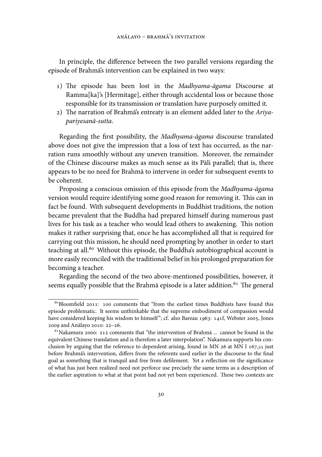In principle, the difference between the two parallel versions regarding the episode of Brahmā's intervention can be explained in two ways:

- 1) The episode has been lost in the *Madhyama-āgama* Discourse at Ramma[ka]'s [Hermitage], either through accidental loss or because those responsible for its transmission or translation have purposely omitted it.
- 2) The narration of Brahma's entreaty is an element added later to the Ariya*pariyesanā-sutta*.

Regarding the first possibility, the *Madhyama-āgama* discourse translated above does not give the impression that a loss of text has occurred, as the narration runs smoothly without any uneven transition. Moreover, the remainder of the Chinese discourse makes as much sense as its Pāli parallel; that is, there appears to be no need for Brahmā to intervene in order for subsequent events to be coherent.

Proposing a conscious omission of this episode from the *Madhyama-āgama* version would require identifying some good reason for removing it. This can in fact be found. With subsequent developments in Buddhist traditions, the notion became prevalent that the Buddha had prepared himself during numerous past lives for his task as a teacher who would lead others to awakening. This notion makes it rather surprising that, once he has accomplished all that is required for carrying out this mission, he should need prompting by another in order to start teaching at all.<sup>60</sup> Without this episode, the Buddha's autobiographical account is more easily reconciled with the traditional belief in his prolonged preparation for becoming a teacher.

Regarding the second of the two above-mentioned possibilities, however, it seems equally possible that the Brahmā episode is a later addition.<sup>61</sup> The general

 $60$ Bloomfield 2011: 100 comments that "from the earliest times Buddhists have found this episode problematic. It seems unthinkable that the supreme embodiment of compassion would have considered keeping his wisdom to himself"; cf. also Bareau 1963: 141f, Webster 2005, Jones 2009 and Anālayo 2010: 22-26.

 $61$  Nakamura 2000: 212 comments that "the intervention of Brahmā ... cannot be found in the equivalent Chinese translation and is therefore a later interpolation". Nakamura supports his conclusion by arguing that the reference to dependent arising, found in MN 26 at MN I  $167,35$  just before Brahmā's intervention, differs from the referents used earlier in the discourse to the final goal as something that is tranquil and free from defilement. Yet a reflection on the significance of what has just been realized need not perforce use precisely the same terms as a description of the earlier aspiration to what at that point had not yet been experienced. These two contexts are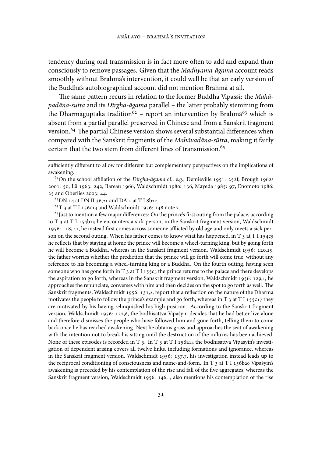tendency during oral transmission is in fact more often to add and expand than consciously to remove passages. Given that the *Madhyama-āgama* account reads smoothly without Brahmā's intervention, it could well be that an early version of the Buddha's autobiographical account did not mention Brahmā at all.

The same pattern recurs in relation to the former Buddha Vipassī: the *Mahāpadāna-sutta* and its *Dīrgha-āgama* parallel – the latter probably stemming from the Dharmaguptaka tradition<sup>62</sup> – report an intervention by Brahm $\tilde{a}^{63}$  which is absent from a partial parallel preserved in Chinese and from a Sanskrit fragment version.<sup>64</sup> The partial Chinese version shows several substantial differences when compared with the Sanskrit fragments of the *Mahāvadāna-sūtra*, making it fairly certain that the two stem from different lines of transmission.

 $^{63}$ DN 14 at DN II 36,21 and DÅ 1 at T I 8b22.

 ${}^{64}T$  3 at T I 156c14 and Waldschmidt 1956: 148 note 2.

 $65$  Just to mention a few major differences: On the prince's first outing from the palace, according to T  $_3$  at T I 154b13 he encounters a sick person, in the Sanskrit fragment version, Waldschmidt 1956: 118, 11, he instead first comes across someone afflicted by old age and only meets a sick person on the second outing. When his father comes to know what has happened, in  $T_3$  at  $T_1$  1545 he reflects that by staying at home the prince will become a wheel-turning king, but by going forth he will become a Buddha, whereas in the Sanskrit fragment version, Waldschmidt 1956: 120,25, the father worries whether the prediction that the prince will go forth will come true, without any reference to his becoming a wheel-turning king or a Buddha. On the fourth outing, having seen someone who has gone forth in T  $_3$  at T I 155c3 the prince returns to the palace and there develops the aspiration to go forth, whereas in the Sanskrit fragment version, Waldschmidt 1956: 129,1, he approaches the renunciate, converses with him and then decides on the spot to go forth as well. The Sanskrit fragments, Waldschmidt 1956: 131,2, report that a reflection on the nature of the Dharma motivates the people to follow the prince's example and go forth, whereas in T  $_3$  at T I 155c17 they are motivated by his having relinquished his high position. According to the Sanskrit fragment version, Waldschmidt 1956: 132,6, the bodhisattva Vipaśyin decides that he had better live alone and therefore dismisses the people who have followed him and gone forth, telling them to come back once he has reached awakening. Next he obtains grass and approaches the seat of awakening with the intention not to break his sitting until the destruction of the influxes has been achieved. None of these episodes is recorded in T<sub>3</sub>. In T<sub>3</sub> at T<sub>I156a14</sub> the bodhisattva Vipaśyin's investigation of dependent arising covers all twelve links, including formations and ignorance, whereas in the Sanskrit fragment version, Waldschmidt 1956: 137,7, his investigation instead leads up to the reciprocal conditioning of consciousness and name-and-form. In T  $_3$  at T I 156b20 Vipaśyin's awakening is preceded by his contemplation of the rise and fall of the five aggregates, whereas the Sanskrit fragment version, Waldschmidt 1956:  $146,1$ , also mentions his contemplation of the rise

sufficiently different to allow for different but complementary perspectives on the implications of awakening.

<sup>&</sup>lt;sup>62</sup>On the school affiliation of the *Dīrgha-āgama* cf., e.g., Demiéville 1951: 252f, Brough 1962/ 2001: 50, Lü 1963: 242, Bareau 1966, Waldschmidt 1980: 136, Mayeda 1985: 97, Enomoto 1986: 25 and Oberlies 2003: 44.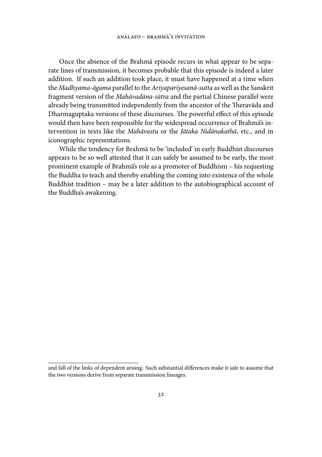Once the absence of the Brahmā episode recurs in what appear to be separate lines of transmission, it becomes probable that this episode is indeed a later addition. If such an addition took place, it must have happened at a time when the *Madhyama-āgama* parallel to the *Ariyapariyesanā-sutta* as well as the Sanskrit fragment version of the *Mahāvadāna-sūtra* and the partial Chinese parallel were already being transmitted independently from the ancestor of the Theravāda and Dharmaguptaka versions of these discourses. The powerful effect of this episode would then have been responsible for the widespread occurrence of Brahmā's intervention in texts like the *Mahāvastu* or the *Jātaka Nidānakathā*, etc., and in iconographic representations.

While the tendency for Brahmā to be 'included' in early Buddhist discourses appears to be so well attested that it can safely be assumed to be early, the most prominent example of Brahmā's role as a promoter of Buddhism – his requesting the Buddha to teach and thereby enabling the coming into existence of the whole Buddhist tradition – may be a later addition to the autobiographical account of the Buddha's awakening.

and fall of the links of dependent arising. Such substantial differences make it safe to assume that the two versions derive from separate transmission lineages.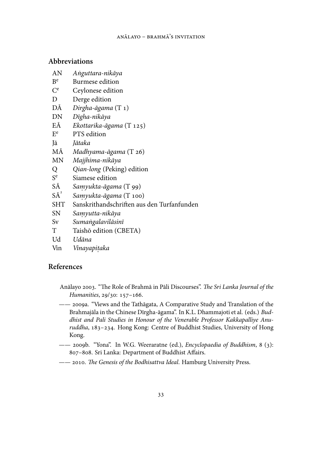#### **Abbreviations**

- AN *A˙nguttara-nikāya*
- $B<sup>e</sup>$ Burmese edition
- $C^e$ Ceylonese edition
- D Derge edition
- DĀ *Dirgha-āgama* (T 1)
- DN *Dīgha-nikāya*
- EĀ *Ekottarika-āgama* (T 125)
- $E<sup>e</sup>$ PTS edition
- Jā *Jātaka*
- MĀ *Madhyama-āgama* (T 26)
- MN *Majjhima-nikāya*
- Q *Qian-long* (Peking) edition
- S e Siamese edition
- SĀ *Saṃyukta-āgama* (T 99)
- $S\overline{A}^2$ Samyukta-āgama (T 100)
- SHT Sanskrithandschriften aus den Turfanfunden
- SN *Samyutta-nikāya .*
- Sv *Suma˙ngalavilāsinī*
- T Taishō edition (CBETA)
- Ud *Udāna*
- Vin *Vinayapiṭaka*

## **References**

- Anālayo 2003. "The Role of Brahmā in Pāli Discourses". *The Sri Lanka Journal of the Humanities*, 29/30: 157-166.
- —— 2009a. "Views and the Tathāgata, A Comparative Study and Translation of the Brahmajāla in the Chinese Dīrgha-āgama". In K.L. Dhammajoti et al. (eds.) *Buddhist and Pali Studies in Honour of the Venerable Professor Kakkapalliye Anuruddha*, 183-234. Hong Kong: Centre of Buddhist Studies, University of Hong Kong.
- —— 2009b. "Yona". In W.G. Weeraratne (ed.), *Encyclopaedia of Buddhism*, 8 (3): 807-808. Sri Lanka: Department of Buddhist Affairs.
- $--$  2010. The Genesis of the Bodhisattva Ideal. Hamburg University Press.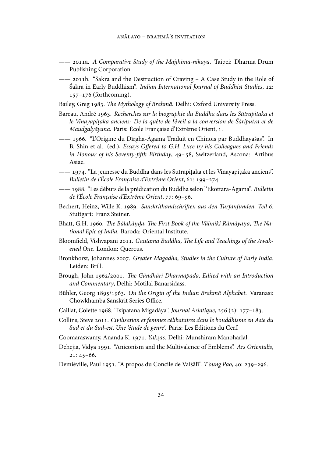- —— a. *A Comparative Study of the Majjhima-nikāya*. Taipei: Dharma Drum Publishing Corporation.
- —— 2011b. "Sakra and the Destruction of Craving A Case Study in the Role of Śakra in Early Buddhism". *Indian International Journal of Buddhist Studies*, 12:  $157-176$  (forthcoming).
- Bailey, Greg 1983. *The Mythology of Brahmā*. Delhi: Oxford University Press.
- Bareau, André 1963. *Recherches sur la biographie du Buddha dans les Sūtrapitaka et* le Vinayapitaka anciens: De la quête de l'éveil a la conversion de Sāriputra et de *Maudgalyāyana*. Paris: École Française d'Extrême Orient, .
- —— . "L'Origine du Dīrgha-Āgama Traduit en Chinois par Buddhayaśas". In B. Shin et al. (ed.), *Essays Offered to G.H. Luce by his Colleagues and Friends in Honour of his Seventy-fifth Birthday*, 49-58, Switzerland, Ascona: Artibus Asiae.
- —— 1974. "La jeunesse du Buddha dans les Sūtrapiṭaka et les Vinayapiṭaka anciens". Bulletin de l'École Française d'Extrême Orient, 61: 199-274.
- —— . "Les débuts de la prédication du Buddha selon l'Ekottara-Āgama". *Bulletin de l'École Française d'Extrême Orient*, 77: 69-96.
- Bechert, Heinz, Wille K. 1989. Sanskrithandschriften aus den Turfanfunden, Teil 6. Stuttgart: Franz Steiner.
- Bhatt, G.H. 1960. *The Bālakānda, The First Book of the Vālmīki Rāmāyana, The National Epic of India*. Baroda: Oriental Institute.
- Bloomfield, Vishvapani 2011. Gautama Buddha, The Life and Teachings of the Awak*ened One*. London: Quercus.
- Bronkhorst, Johannes 2007. Greater Magadha, Studies in the Culture of Early India. Leiden: Brill.
- Brough, John 1962/2001. *The Gāndhārī Dharmapada, Edited with an Introduction and Commentary*, Delhi: Motilal Banarsidass.
- Bühler, Georg 1895/1963. On the Origin of the Indian Brahmā Alphabet. Varanasi: Chowkhamba Sanskrit Series Office.
- Caillat, Colette 1968. "Isipatana Migadāya". *Journal Asiatique*, 256 (2): 177-183.
- Collins, Steve . *Civilisation et femmes célibataires dans le bouddhisme en Asie du Sud et du Sud-est, Une 'étude de genre'*. Paris: Les Éditions du Cerf.
- Coomaraswamy, Ananda K. . *Yak. sas*. Delhi: Munshiram Manoharlal.
- Dehejia, Vidya . "Aniconism and the Multivalence of Emblems". *Ars Orientalis*,  $21: 45 - 66.$
- Demiéville, Paul 1951. "A propos du Concile de Vaiśālī". *T'oung Pao*, 40: 239-296.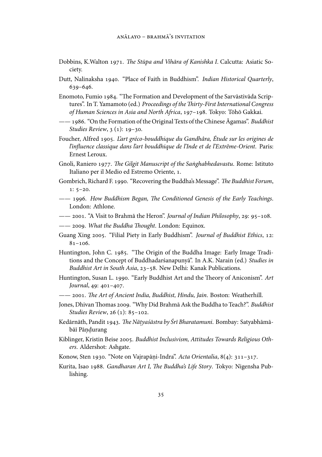- Dobbins, K.Walton . *e Stūpa and Vihāra of Kanishka I*. Calcutta: Asiatic Society.
- Dutt, Nalinaksha 1940. "Place of Faith in Buddhism". *Indian Historical Quarterly*,  $639 - 646.$
- Enomoto, Fumio 1984. "The Formation and Development of the Sarvāstivāda Scriptures". In T. Yamamoto (ed.) *Proceedings of the Thirty-First International Congress* of Human Sciences in Asia and North Africa, 197-198. Tokyo: Tōhō Gakkai.
- —— . "On the Formation of the Original Texts of the Chinese Āgamas". *Buddhist Studies Review*, 3 (1): 19–30.
- Foucher, Alfred . *L'art gréco-bouddhique du Gandhâra, Étude sur les origines de l'influence classique dans l'art bouddhique de l'Inde et de l'Extrême-Orient*. Paris: Ernest Leroux.
- Gnoli, Raniero 1977. The Gilgit Manuscript of the Sanghabhedavastu. Rome: Istituto Italiano per il Medio ed Estremo Oriente, 1.
- Gombrich, Richard F. 1990. "Recovering the Buddha's Message". The Buddhist Forum,  $1: 5-20.$
- $--$  1996. How Buddhism Began, The Conditioned Genesis of the Early Teachings. London: Athlone.
- —— 2001. "A Visit to Brahmā the Heron". *Journal of Indian Philosophy*, 29: 95-108.
- $---$  2009. What the Buddha Thought. London: Equinox.
- Guang Xing 2005. "Filial Piety in Early Buddhism". *Journal of Buddhist Ethics*, 12:  $81 - 106.$
- Huntington, John C. 1985. "The Origin of the Buddha Image: Early Image Traditions and the Concept of Buddhadarśanapunyā". In A.K. Narain (ed.) *Studies in Buddhist Art in South Asia*, 23-58. New Delhi: Kanak Publications.
- Huntington, Susan L. 1990. "Early Buddhist Art and the Theory of Aniconism". Art *Journal*, 49: 401-407.
- —— . *e Art of Ancient India, Buddhist, Hindu, Jain*. Boston: Weatherhill.
- Jones, Dhivan Thomas 2009. "Why Did Brahmā Ask the Buddha to Teach?". *Buddhist Studies Review*, 26 (1): 85-102.
- Kedārnāth, Pandit 1943. *The Nāṭyaśāstra by Srī Bharatamuni*. Bombay: Satyabhāmābāī Pāṇḍurang
- Kiblinger, Kristin Beise 2005. Buddhist Inclusivism, Attitudes Towards Religious Oth*ers*. Aldershot: Ashgate.
- Konow, Sten 1930. "Note on Vajrapāṇi-Indra". *Acta Orientalia*, 8(4): 311–317.
- Kurita, Isao 1988. Gandharan Art I, The Buddha's Life Story. Tokyo: Nigensha Publishing.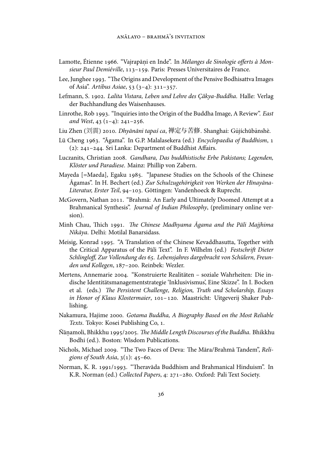- Lamotte, Étienne 1966. "Vajrapāni en Inde". In *Mélanges de Sinologie offerts à Mon*sieur Paul Demiéville, 113-159. Paris: Presses Universitaires de France.
- Lee, Junghee 1993. "The Origins and Development of the Pensive Bodhisattva Images of Asia". *Artibus Asiae*, 53 (3-4): 311-357.
- Lefmann, S. . *Lalita Vistara, Leben und Lehre des Çâkya-Buddha*. Halle: Verlag der Buchhandlung des Waisenhauses.
- Linrothe, Rob 1993. "Inquiries into the Origin of the Buddha Image, A Review". *East and West*,  $43$   $(1-4)$ :  $241-256$ .
- Liu Zhen (刘震) 2010. *Dhyānāni tapaś ca*, 禅定与苦修. Shanghai: Gǔjíchūbǎnshè.
- Lü Cheng 1963. "Āgama". In G.P. Malalasekera (ed.) *Encyclopaedia of Buddhism*, 1 (2):  $241 - 244$ . Sri Lanka: Department of Buddhist Affairs.
- Luczanits, Christian 2008. *Gandhara, Das buddhistische Erbe Pakistans; Legenden, Klöster und Paradiese*. Mainz: Phillip von Zabern.
- Mayeda [=Maeda], Egaku 1985. "Japanese Studies on the Schools of the Chinese Āgamas". In H. Bechert (ed.) *Zur Schulzugehörigkeit von Werken der Hīnayāna-*Literatur, Erster Teil, 94-103. Göttingen: Vandenhoeck & Ruprecht.
- McGovern, Nathan 2011. "Brahmā: An Early and Ultimately Doomed Attempt at a Brahmanical Synthesis". *Journal of Indian Philosophy*, (preliminary online version).
- Minh Chau, Thich 1991. The Chinese Madhyama Āgama and the Pāli Majjhima *Nikāya*. Delhi: Motilal Banarsidass.
- Meisig, Konrad 1995. "A Translation of the Chinese Kevaddhasutta, Together with the Critical Apparatus of the Pāli Text". In F. Wilhelm (ed.) *Festschrift Dieter* Schlingloff, Zur Vollendung des 65. Lebensjahres dargebracht von Schülern, Freun*den und Kollegen, 187-200. Reinbek: Wezler.*
- Mertens, Annemarie 2004. "Konstruierte Realitäten soziale Wahrheiten: Die indische Identitätsmanagementstrategie 'Inklusivismus', Eine Skizze". In I. Bocken et al. (eds.) *The Persistent Challenge, Religion, Truth and Scholarship, Essays* in Honor of Klaus Klostermaier, 101-120. Maastricht: Uitgeverij Shaker Publishing.
- Nakamura, Hajime 2000. *Gotama Buddha, A Biography Based on the Most Reliable Texts*. Tokyo: Kosei Publishing Co, 1.
- Nāṇamoli, Bhikkhu 1995/2005. *The Middle Length Discourses of the Buddha.* Bhikkhu Bodhi (ed.). Boston: Wisdom Publications.
- Nichols, Michael 2009. "The Two Faces of Deva: The Māra/Brahmā Tandem", Reli*gions of South Asia*,  $3(1)$ : 45-60.
- Norman, K. R. 1991/1993. "Theravāda Buddhism and Brahmanical Hinduism". In K.R. Norman (ed.) *Collected Papers*, 4: 271-280. Oxford: Pali Text Society.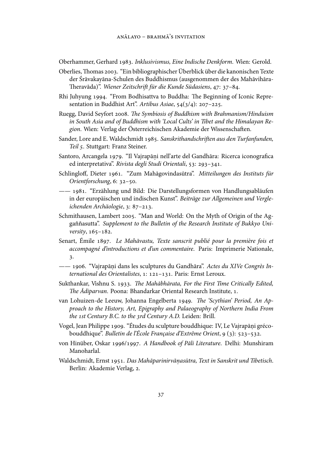Oberhammer, Gerhard . *Inklusivismus, Eine Indische Denkform*. Wien: Gerold.

- Oberlies, Thomas 2003. "Ein bibliographischer Überblick über die kanonischen Texte der Śrāvakayāna-Schulen des Buddhismus (ausgenommen der des Mahāvihāra- Theravāda)". *Wiener Zeitschrift für die Kunde Südasiens*, 47: 37-84.
- Rhi Juhyung 1994. "From Bodhisattva to Buddha: The Beginning of Iconic Representation in Buddhist Art". Artibus Asiae, 54(3/4): 207-225.
- Ruegg, David Seyfort 2008. The Symbiosis of Buddhism with Brahmanism/Hinduism *in South Asia and of Buddhism with 'Local Cults' in Tibet and the Himalayan Re*gion. Wien: Verlag der Österreichischen Akademie der Wissenschaften.
- Sander, Lore and E. Waldschmidt 1985. Sanskrithandschriften aus den Turfanfunden, *Teil* . Stuttgart: Franz Steiner.
- Santoro, Arcangela 1979. "Il Vajrapāni nell'arte del Gandhāra: Ricerca iconografica ed interpretativa". *Rivista degli Studi Orientali*, 53: 293-341.
- Schlingloff, Dieter . "Zum Mahāgovindasūtra". *Mitteilungen des Instituts für Orientforschung*, 6: 32-50.
- —— . "Erzählung und Bild: Die Darstellungsformen von Handlungsabläufen in der europäischen und indischen Kunst". *Beiträge zur Allgemeinen und Vergleichenden Archäologie*, 3: 87-213.
- Schmithausen, Lambert 2005. "Man and World: On the Myth of Origin of the Aggaññasutta". *Supplement to the Bulletin of the Research Institute of Bukkyo University*, 165-182.
- Senart, Émile . *Le Mahāvastu, Texte sanscrit publié pour la première fois et accompagné d'introductions et d'un commentaire*. Paris: Imprimerie Nationale, .
- $-$  1906. "Vairapāni dans les sculptures du Gandhāra". Actes du XIVe Congrès In*ternational des Orientalistes*, 1: 121-131. Paris: Ernst Leroux.
- Sukthankar, Vishnu S. 1933. The Mahābhārata, For the First Time Critically Edited, *The Ādiparvan*. Poona: Bhandarkar Oriental Research Institute, 1.
- van Lohuizen-de Leeuw, Johanna Engelberta 1949. The 'Scythian' Period, An Ap*proach to the History, Art, Epigraphy and Palaeography of Northern India From the 1st Century B.C. to the 3rd Century A.D. Leiden: Brill.*
- Vogel, Jean Philippe 1909. "Études du sculpture bouddhique: IV, Le Vajrapāni grécobouddhique". *Bulletin de l'École Française d'Extrême Orient*, 9 (3): 523-532.
- von Hinüber, Oskar 1996/1997. A Handbook of Pāli Literature. Delhi: Munshiram Manoharlal.
- Waldschmidt, Ernst . *Das Mahāparinirvānasūtra, Text in Sanskrit und Tibetisch .* . Berlin: Akademie Verlag, 2.